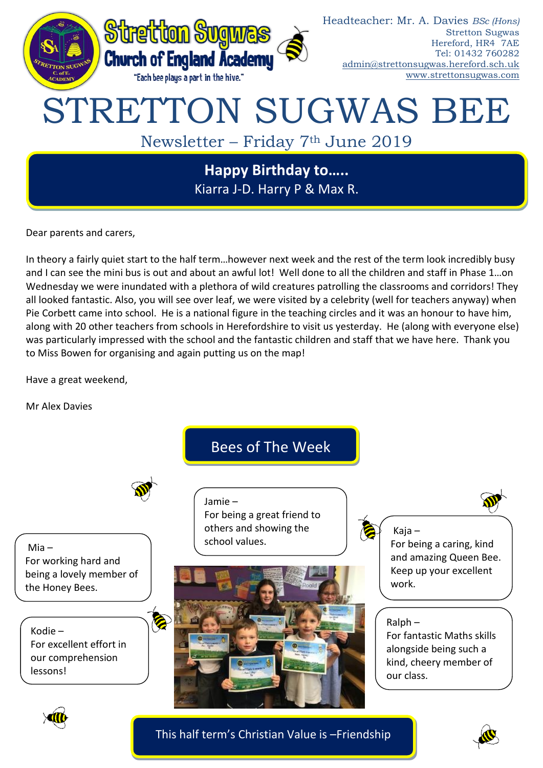

Dear parents and carers,

In theory a fairly quiet start to the half term…however next week and the rest of the term look incredibly busy and I can see the mini bus is out and about an awful lot! Well done to all the children and staff in Phase 1…on Wednesday we were inundated with a plethora of wild creatures patrolling the classrooms and corridors! They all looked fantastic. Also, you will see over leaf, we were visited by a celebrity (well for teachers anyway) when Pie Corbett came into school. He is a national figure in the teaching circles and it was an honour to have him, along with 20 other teachers from schools in Herefordshire to visit us yesterday. He (along with everyone else) was particularly impressed with the school and the fantastic children and staff that we have here. Thank you to Miss Bowen for organising and again putting us on the map!

Have a great weekend,

Mr Alex Davies



This half term's Christian Value is –Friendship